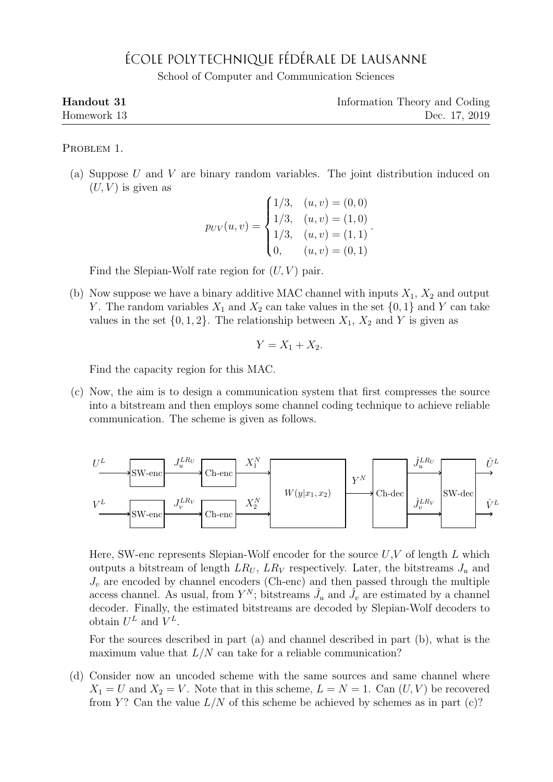## ÉCOLE POLYTECHNIQUE FÉDÉRALE DE LAUSANNE

School of Computer and Communication Sciences

| Handout 31  | Information Theory and Coding |
|-------------|-------------------------------|
| Homework 13 | Dec. 17, 2019                 |

PROBLEM 1.

(a) Suppose U and V are binary random variables. The joint distribution induced on  $(U, V)$  is given as

$$
p_{UV}(u, v) = \begin{cases} 1/3, & (u, v) = (0, 0) \\ 1/3, & (u, v) = (1, 0) \\ 1/3, & (u, v) = (1, 1) \\ 0, & (u, v) = (0, 1) \end{cases}.
$$

Find the Slepian-Wolf rate region for  $(U, V)$  pair.

(b) Now suppose we have a binary additive MAC channel with inputs  $X_1, X_2$  and output Y. The random variables  $X_1$  and  $X_2$  can take values in the set  $\{0, 1\}$  and Y can take values in the set  $\{0, 1, 2\}$ . The relationship between  $X_1, X_2$  and Y is given as

$$
Y = X_1 + X_2.
$$

Find the capacity region for this MAC.

(c) Now, the aim is to design a communication system that first compresses the source into a bitstream and then employs some channel coding technique to achieve reliable communication. The scheme is given as follows.



Here, SW-enc represents Slepian-Wolf encoder for the source  $U, V$  of length L which outputs a bitstream of length  $LR_U$ ,  $LR_V$  respectively. Later, the bitstreams  $J_u$  and  $J_v$  are encoded by channel encoders (Ch-enc) and then passed through the multiple access channel. As usual, from  $Y^N$ ; bitstreams  $\hat{J}_u$  and  $\hat{J}_v$  are estimated by a channel decoder. Finally, the estimated bitstreams are decoded by Slepian-Wolf decoders to obtain  $U^L$  and  $V^L$ .

For the sources described in part (a) and channel described in part (b), what is the maximum value that  $L/N$  can take for a reliable communication?

(d) Consider now an uncoded scheme with the same sources and same channel where  $X_1 = U$  and  $X_2 = V$ . Note that in this scheme,  $L = N = 1$ . Can  $(U, V)$  be recovered from Y? Can the value  $L/N$  of this scheme be achieved by schemes as in part (c)?